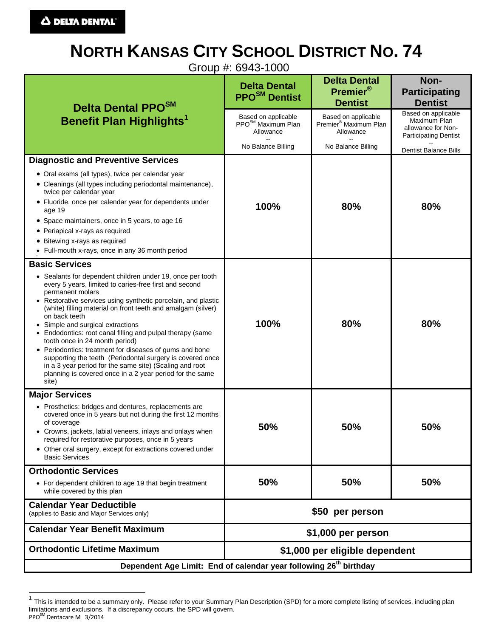# **NORTH KANSAS CITY SCHOOL DISTRICT NO. 74**

Group #: 6943-1000

| Delta Dental PPO <sup>SM</sup><br><b>Benefit Plan Highlights1</b>                                                                                                                                                                                                                                                                                                                                                                                                                                                                                                                                                                                                                       | <b>Delta Dental</b><br>PPO <sup>SM</sup> Dentist                   | <b>Delta Dental</b><br>Premier®<br><b>Dentist</b>                     | Non-<br><b>Participating</b><br><b>Dentist</b>                                            |
|-----------------------------------------------------------------------------------------------------------------------------------------------------------------------------------------------------------------------------------------------------------------------------------------------------------------------------------------------------------------------------------------------------------------------------------------------------------------------------------------------------------------------------------------------------------------------------------------------------------------------------------------------------------------------------------------|--------------------------------------------------------------------|-----------------------------------------------------------------------|-------------------------------------------------------------------------------------------|
|                                                                                                                                                                                                                                                                                                                                                                                                                                                                                                                                                                                                                                                                                         | Based on applicable<br>PPO <sup>SM</sup> Maximum Plan<br>Allowance | Based on applicable<br>Premier <sup>®</sup> Maximum Plan<br>Allowance | Based on applicable<br>Maximum Plan<br>allowance for Non-<br><b>Participating Dentist</b> |
|                                                                                                                                                                                                                                                                                                                                                                                                                                                                                                                                                                                                                                                                                         | No Balance Billing                                                 | No Balance Billing                                                    | <b>Dentist Balance Bills</b>                                                              |
| <b>Diagnostic and Preventive Services</b>                                                                                                                                                                                                                                                                                                                                                                                                                                                                                                                                                                                                                                               |                                                                    |                                                                       |                                                                                           |
| • Oral exams (all types), twice per calendar year<br>• Cleanings (all types including periodontal maintenance),<br>twice per calendar year                                                                                                                                                                                                                                                                                                                                                                                                                                                                                                                                              |                                                                    |                                                                       |                                                                                           |
| • Fluoride, once per calendar year for dependents under<br>age 19                                                                                                                                                                                                                                                                                                                                                                                                                                                                                                                                                                                                                       | 100%                                                               | 80%                                                                   | 80%                                                                                       |
| • Space maintainers, once in 5 years, to age 16<br>• Periapical x-rays as required                                                                                                                                                                                                                                                                                                                                                                                                                                                                                                                                                                                                      |                                                                    |                                                                       |                                                                                           |
| • Bitewing x-rays as required                                                                                                                                                                                                                                                                                                                                                                                                                                                                                                                                                                                                                                                           |                                                                    |                                                                       |                                                                                           |
| • Full-mouth x-rays, once in any 36 month period                                                                                                                                                                                                                                                                                                                                                                                                                                                                                                                                                                                                                                        |                                                                    |                                                                       |                                                                                           |
| <b>Basic Services</b>                                                                                                                                                                                                                                                                                                                                                                                                                                                                                                                                                                                                                                                                   |                                                                    |                                                                       |                                                                                           |
| • Sealants for dependent children under 19, once per tooth<br>every 5 years, limited to caries-free first and second<br>permanent molars<br>• Restorative services using synthetic porcelain, and plastic<br>(white) filling material on front teeth and amalgam (silver)<br>on back teeth<br>• Simple and surgical extractions<br>• Endodontics: root canal filling and pulpal therapy (same<br>tooth once in 24 month period)<br>• Periodontics: treatment for diseases of gums and bone<br>supporting the teeth (Periodontal surgery is covered once<br>in a 3 year period for the same site) (Scaling and root<br>planning is covered once in a 2 year period for the same<br>site) | 100%                                                               | 80%                                                                   | 80%                                                                                       |
| <b>Major Services</b>                                                                                                                                                                                                                                                                                                                                                                                                                                                                                                                                                                                                                                                                   |                                                                    |                                                                       |                                                                                           |
| • Prosthetics: bridges and dentures, replacements are<br>covered once in 5 years but not during the first 12 months<br>of coverage<br>• Crowns, jackets, labial veneers, inlays and onlays when<br>required for restorative purposes, once in 5 years<br>• Other oral surgery, except for extractions covered under<br><b>Basic Services</b>                                                                                                                                                                                                                                                                                                                                            | 50%                                                                | 50%                                                                   | 50%                                                                                       |
| <b>Orthodontic Services</b>                                                                                                                                                                                                                                                                                                                                                                                                                                                                                                                                                                                                                                                             |                                                                    |                                                                       |                                                                                           |
| • For dependent children to age 19 that begin treatment<br>while covered by this plan                                                                                                                                                                                                                                                                                                                                                                                                                                                                                                                                                                                                   | 50%                                                                | 50%                                                                   | 50%                                                                                       |
| <b>Calendar Year Deductible</b><br>(applies to Basic and Major Services only)                                                                                                                                                                                                                                                                                                                                                                                                                                                                                                                                                                                                           | \$50 per person                                                    |                                                                       |                                                                                           |
| <b>Calendar Year Benefit Maximum</b>                                                                                                                                                                                                                                                                                                                                                                                                                                                                                                                                                                                                                                                    | \$1,000 per person                                                 |                                                                       |                                                                                           |
| <b>Orthodontic Lifetime Maximum</b>                                                                                                                                                                                                                                                                                                                                                                                                                                                                                                                                                                                                                                                     | \$1,000 per eligible dependent                                     |                                                                       |                                                                                           |
| Dependent Age Limit: End of calendar year following 26 <sup>th</sup> birthday                                                                                                                                                                                                                                                                                                                                                                                                                                                                                                                                                                                                           |                                                                    |                                                                       |                                                                                           |

This is intended to be a summary only. Please refer to your Summary Plan Description (SPD) for a more complete listing of services, including plan limitations and exclusions. If a discrepancy occurs, the SPD will govern.

PPO<sup>SM</sup> Dentacare M 3/2014